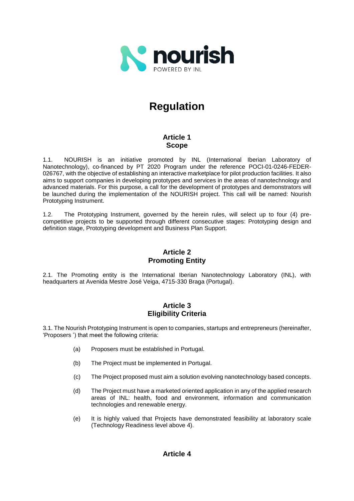

# **Regulation**

# **Article 1 Scope**

1.1. NOURISH is an initiative promoted by INL (International Iberian Laboratory of Nanotechnology), co-financed by PT 2020 Program under the reference POCI-01-0246-FEDER-026767, with the objective of establishing an interactive marketplace for pilot production facilities. It also aims to support companies in developing prototypes and services in the areas of nanotechnology and advanced materials. For this purpose, a call for the development of prototypes and demonstrators will be launched during the implementation of the NOURISH project. This call will be named: Nourish Prototyping Instrument.

1.2. The Prototyping Instrument, governed by the herein rules, will select up to four (4) precompetitive projects to be supported through different consecutive stages: Prototyping design and definition stage, Prototyping development and Business Plan Support.

# **Article 2 Promoting Entity**

2.1. The Promoting entity is the International Iberian Nanotechnology Laboratory (INL), with headquarters at Avenida Mestre José Veiga, 4715-330 Braga (Portugal).

# **Article 3 Eligibility Criteria**

3.1. The Nourish Prototyping Instrument is open to companies, startups and entrepreneurs (hereinafter, 'Proposers ') that meet the following criteria:

- (a) Proposers must be established in Portugal.
- (b) The Project must be implemented in Portugal.
- (c) The Project proposed must aim a solution evolving nanotechnology based concepts.
- (d) The Project must have a marketed oriented application in any of the applied research areas of INL: health, food and environment, information and communication technologies and renewable energy.
- (e) It is highly valued that Projects have demonstrated feasibility at laboratory scale (Technology Readiness level above 4).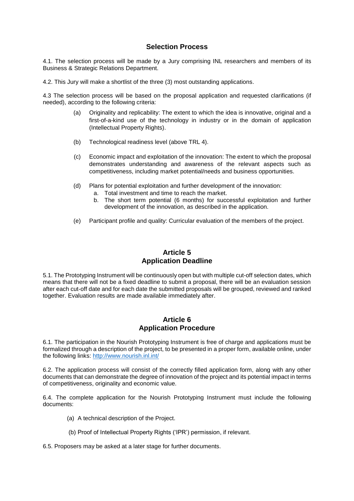### **Selection Process**

4.1. The selection process will be made by a Jury comprising INL researchers and members of its Business & Strategic Relations Department.

4.2. This Jury will make a shortlist of the three (3) most outstanding applications.

4.3 The selection process will be based on the proposal application and requested clarifications (if needed), according to the following criteria:

- (a) Originality and replicability: The extent to which the idea is innovative, original and a first-of-a-kind use of the technology in industry or in the domain of application (Intellectual Property Rights).
- (b) Technological readiness level (above TRL 4).
- (c) Economic impact and exploitation of the innovation: The extent to which the proposal demonstrates understanding and awareness of the relevant aspects such as competitiveness, including market potential/needs and business opportunities.
- (d) Plans for potential exploitation and further development of the innovation:
	- a. Total investment and time to reach the market.
	- b. The short term potential (6 months) for successful exploitation and further development of the innovation, as described in the application.
- (e) Participant profile and quality: Curricular evaluation of the members of the project.

## **Article 5 Application Deadline**

5.1. The Prototyping Instrument will be continuously open but with multiple cut-off selection dates, which means that there will not be a fixed deadline to submit a proposal, there will be an evaluation session after each cut-off date and for each date the submitted proposals will be grouped, reviewed and ranked together. Evaluation results are made available immediately after.

### **Article 6 Application Procedure**

6.1. The participation in the Nourish Prototyping Instrument is free of charge and applications must be formalized through a description of the project, to be presented in a proper form, available online, under the following links:<http://www.nourish.inl.int/>

6.2. The application process will consist of the correctly filled application form, along with any other documents that can demonstrate the degree of innovation of the project and its potential impact in terms of competitiveness, originality and economic value.

6.4. The complete application for the Nourish Prototyping Instrument must include the following documents:

- (a) A technical description of the Project.
- (b) Proof of Intellectual Property Rights ('IPR') permission, if relevant.

6.5. Proposers may be asked at a later stage for further documents.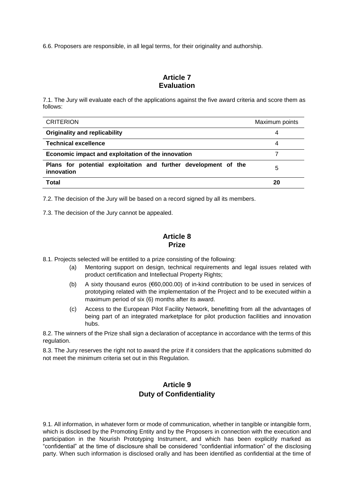6.6. Proposers are responsible, in all legal terms, for their originality and authorship.

## **Article 7 Evaluation**

7.1. The Jury will evaluate each of the applications against the five award criteria and score them as follows:

| <b>CRITERION</b>                                                              | Maximum points |
|-------------------------------------------------------------------------------|----------------|
| <b>Originality and replicability</b>                                          | 4              |
| <b>Technical excellence</b>                                                   | 4              |
| Economic impact and exploitation of the innovation                            |                |
| Plans for potential exploitation and further development of the<br>innovation | 5              |
| Total                                                                         | 20             |

7.2. The decision of the Jury will be based on a record signed by all its members.

7.3. The decision of the Jury cannot be appealed.

# **Article 8 Prize**

8.1. Projects selected will be entitled to a prize consisting of the following:

- (a) Mentoring support on design, technical requirements and legal issues related with product certification and Intellectual Property Rights;
- (b) A sixty thousand euros (€60,000.00) of in-kind contribution to be used in services of prototyping related with the implementation of the Project and to be executed within a maximum period of six (6) months after its award.
- (c) Access to the European Pilot Facility Network, benefitting from all the advantages of being part of an integrated marketplace for pilot production facilities and innovation hubs.

8.2. The winners of the Prize shall sign a declaration of acceptance in accordance with the terms of this regulation.

8.3. The Jury reserves the right not to award the prize if it considers that the applications submitted do not meet the minimum criteria set out in this Regulation.

# **Article 9 Duty of Confidentiality**

9.1. All information, in whatever form or mode of communication, whether in tangible or intangible form, which is disclosed by the Promoting Entity and by the Proposers in connection with the execution and participation in the Nourish Prototyping Instrument, and which has been explicitly marked as "confidential" at the time of disclosure shall be considered "confidential information" of the disclosing party. When such information is disclosed orally and has been identified as confidential at the time of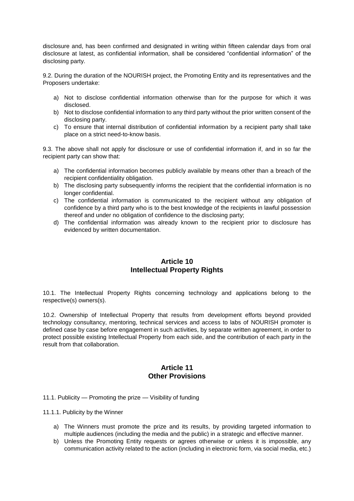disclosure and, has been confirmed and designated in writing within fifteen calendar days from oral disclosure at latest, as confidential information, shall be considered "confidential information" of the disclosing party.

9.2. During the duration of the NOURISH project, the Promoting Entity and its representatives and the Proposers undertake:

- a) Not to disclose confidential information otherwise than for the purpose for which it was disclosed.
- b) Not to disclose confidential information to any third party without the prior written consent of the disclosing party.
- c) To ensure that internal distribution of confidential information by a recipient party shall take place on a strict need-to-know basis.

9.3. The above shall not apply for disclosure or use of confidential information if, and in so far the recipient party can show that:

- a) The confidential information becomes publicly available by means other than a breach of the recipient confidentiality obligation.
- b) The disclosing party subsequently informs the recipient that the confidential information is no longer confidential.
- c) The confidential information is communicated to the recipient without any obligation of confidence by a third party who is to the best knowledge of the recipients in lawful possession thereof and under no obligation of confidence to the disclosing party;
- d) The confidential information was already known to the recipient prior to disclosure has evidenced by written documentation.

### **Article 10 Intellectual Property Rights**

10.1. The Intellectual Property Rights concerning technology and applications belong to the respective(s) owners(s).

10.2. Ownership of Intellectual Property that results from development efforts beyond provided technology consultancy, mentoring, technical services and access to labs of NOURISH promoter is defined case by case before engagement in such activities, by separate written agreement, in order to protect possible existing Intellectual Property from each side, and the contribution of each party in the result from that collaboration.

# **Article 11 Other Provisions**

11.1. Publicity — Promoting the prize — Visibility of funding

11.1.1. Publicity by the Winner

- a) The Winners must promote the prize and its results, by providing targeted information to multiple audiences (including the media and the public) in a strategic and effective manner.
- b) Unless the Promoting Entity requests or agrees otherwise or unless it is impossible, any communication activity related to the action (including in electronic form, via social media, etc.)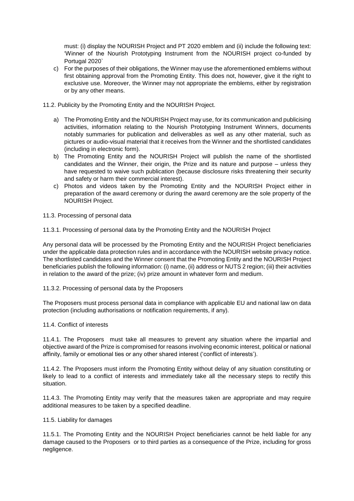must: (i) display the NOURISH Project and PT 2020 emblem and (ii) include the following text: 'Winner of the Nourish Prototyping Instrument from the NOURISH project co-funded by Portugal 2020`

- c) For the purposes of their obligations, the Winner may use the aforementioned emblems without first obtaining approval from the Promoting Entity. This does not, however, give it the right to exclusive use. Moreover, the Winner may not appropriate the emblems, either by registration or by any other means.
- 11.2. Publicity by the Promoting Entity and the NOURISH Project.
	- a) The Promoting Entity and the NOURISH Project may use, for its communication and publicising activities, information relating to the Nourish Prototyping Instrument Winners, documents notably summaries for publication and deliverables as well as any other material, such as pictures or audio-visual material that it receives from the Winner and the shortlisted candidates (including in electronic form).
	- b) The Promoting Entity and the NOURISH Project will publish the name of the shortlisted candidates and the Winner, their origin, the Prize and its nature and purpose – unless they have requested to waive such publication (because disclosure risks threatening their security and safety or harm their commercial interest).
	- c) Photos and videos taken by the Promoting Entity and the NOURISH Project either in preparation of the award ceremony or during the award ceremony are the sole property of the NOURISH Project.

#### 11.3. Processing of personal data

11.3.1. Processing of personal data by the Promoting Entity and the NOURISH Project

Any personal data will be processed by the Promoting Entity and the NOURISH Project beneficiaries under the applicable data protection rules and in accordance with the NOURISH website privacy notice. The shortlisted candidates and the Winner consent that the Promoting Entity and the NOURISH Project beneficiaries publish the following information: (i) name, (ii) address or NUTS 2 region; (iii) their activities in relation to the award of the prize; (iv) prize amount in whatever form and medium.

#### 11.3.2. Processing of personal data by the Proposers

The Proposers must process personal data in compliance with applicable EU and national law on data protection (including authorisations or notification requirements, if any).

#### 11.4. Conflict of interests

11.4.1. The Proposers must take all measures to prevent any situation where the impartial and objective award of the Prize is compromised for reasons involving economic interest, political or national affinity, family or emotional ties or any other shared interest ('conflict of interests').

11.4.2. The Proposers must inform the Promoting Entity without delay of any situation constituting or likely to lead to a conflict of interests and immediately take all the necessary steps to rectify this situation.

11.4.3. The Promoting Entity may verify that the measures taken are appropriate and may require additional measures to be taken by a specified deadline.

#### 11.5. Liability for damages

11.5.1. The Promoting Entity and the NOURISH Project beneficiaries cannot be held liable for any damage caused to the Proposers or to third parties as a consequence of the Prize, including for gross negligence.